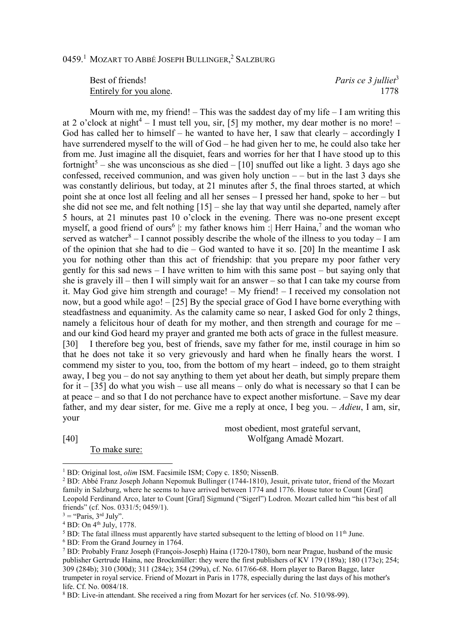## 0459.<sup>1</sup> Mozart to Abbé Joseph Bullinger,<sup>2</sup> Salzburg

Best of friends! *Paris ce 3 julliet*<sup>3</sup> Entirely for you alone. 1778

Mourn with me, my friend!  $-$  This was the saddest day of my life  $-$  I am writing this at 2 o'clock at night<sup>4</sup> – I must tell you, sir, [5] my mother, my dear mother is no more! – God has called her to himself – he wanted to have her, I saw that clearly – accordingly I have surrendered myself to the will of God – he had given her to me, he could also take her from me. Just imagine all the disquiet, fears and worries for her that I have stood up to this fortnight<sup>5</sup> – she was unconscious as she died – [10] snuffed out like a light. 3 days ago she confessed, received communion, and was given holy unction  $-$  – but in the last 3 days she was constantly delirious, but today, at 21 minutes after 5, the final throes started, at which point she at once lost all feeling and all her senses – I pressed her hand, spoke to her – but she did not see me, and felt nothing  $[15]$  – she lay that way until she departed, namely after 5 hours, at 21 minutes past 10 o'clock in the evening. There was no-one present except myself, a good friend of ours<sup>6</sup> |: my father knows him :| Herr Haina,<sup>7</sup> and the woman who served as watcher<sup>8</sup> – I cannot possibly describe the whole of the illness to you today – I am of the opinion that she had to die – God wanted to have it so. [20] In the meantime I ask you for nothing other than this act of friendship: that you prepare my poor father very gently for this sad news – I have written to him with this same post – but saying only that she is gravely ill – then I will simply wait for an answer – so that I can take my course from it. May God give him strength and courage! – My friend! – I received my consolation not now, but a good while ago! – [25] By the special grace of God I have borne everything with steadfastness and equanimity. As the calamity came so near, I asked God for only 2 things, namely a felicitous hour of death for my mother, and then strength and courage for me – and our kind God heard my prayer and granted me both acts of grace in the fullest measure. [30] I therefore beg you, best of friends, save my father for me, instil courage in him so that he does not take it so very grievously and hard when he finally hears the worst. I commend my sister to you, too, from the bottom of my heart – indeed, go to them straight away, I beg you – do not say anything to them yet about her death, but simply prepare them for it –  $[35]$  do what you wish – use all means – only do what is necessary so that I can be at peace – and so that I do not perchance have to expect another misfortune. – Save my dear father, and my dear sister, for me. Give me a reply at once, I beg you. – *Adieu*, I am, sir, your

[40] Wolfgang Amadè Mozart.

 $\overline{a}$ 

To make sure:

most obedient, most grateful servant,

6 BD: From the Grand Journey in 1764.

<sup>&</sup>lt;sup>1</sup> BD: Original lost, *olim* ISM. Facsimile ISM; Copy c. 1850; NissenB.

<sup>&</sup>lt;sup>2</sup> BD: Abbé Franz Joseph Johann Nepomuk Bullinger (1744-1810), Jesuit, private tutor, friend of the Mozart family in Salzburg, where he seems to have arrived between 1774 and 1776. House tutor to Count [Graf] Leopold Ferdinand Arco, later to Count [Graf] Sigmund ("Sigerl") Lodron. Mozart called him "his best of all friends" (cf. Nos. 0331/5; 0459/1).

 $3 =$  "Paris,  $3<sup>rd</sup>$  July".

<sup>&</sup>lt;sup>4</sup> BD: On <sup>4th</sup> July, 1778.

<sup>&</sup>lt;sup>5</sup> BD: The fatal illness must apparently have started subsequent to the letting of blood on  $11<sup>th</sup>$  June.

<sup>7</sup> BD: Probably Franz Joseph (François-Joseph) Haina (1720-1780), born near Prague, husband of the music publisher Gertrude Haina, nee Brockmüller: they were the first publishers of KV 179 (189a); 180 (173c); 254; 309 (284b); 310 (300d); 311 (284c); 354 (299a), cf. No. 617/66-68. Horn player to Baron Bagge, later trumpeter in royal service. Friend of Mozart in Paris in 1778, especially during the last days of his mother's life. Cf. No. 0084/18.

<sup>&</sup>lt;sup>8</sup> BD: Live-in attendant. She received a ring from Mozart for her services (cf. No. 510/98-99).